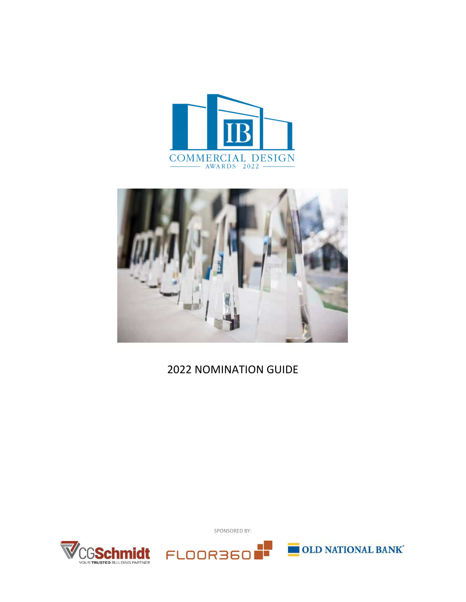



# 2022 NOMINATION GUIDE



SPONSORED BY:



**OLD NATIONAL BANK**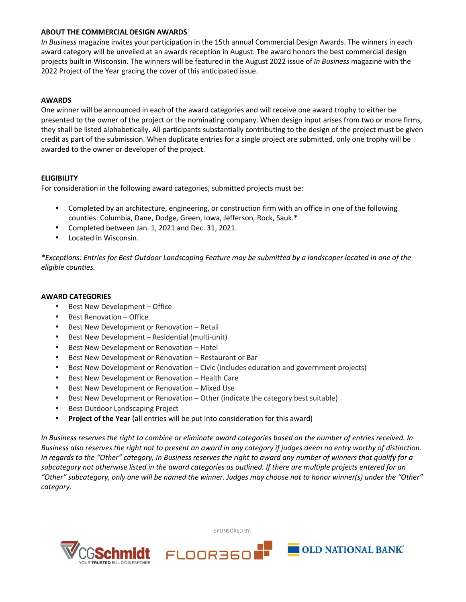## **ABOUT THE COMMERCIAL DESIGN AWARDS**

*In Business* magazine invites your participation in the 15th annual Commercial Design Awards. The winners in each award category will be unveiled at an awards reception in August. The award honors the best commercial design projects built in Wisconsin. The winners will be featured in the August 2022 issue of *In Business* magazine with the 2022 Project of the Year gracing the cover of this anticipated issue.

# **AWARDS**

One winner will be announced in each of the award categories and will receive one award trophy to either be presented to the owner of the project or the nominating company. When design input arises from two or more firms, they shall be listed alphabetically. All participants substantially contributing to the design of the project must be given credit as part of the submission. When duplicate entries for a single project are submitted, only one trophy will be awarded to the owner or developer of the project.

## **ELIGIBILITY**

For consideration in the following award categories, submitted projects must be:

- Completed by an architecture, engineering, or construction firm with an office in one of the following counties: Columbia, Dane, Dodge, Green, Iowa, Jefferson, Rock, Sauk.\*
- Completed between Jan. 1, 2021 and Dec. 31, 2021.
- Located in Wisconsin.

*\*Exceptions: Entries for Best Outdoor Landscaping Feature may be submitted by a landscaper located in one of the eligible counties.* 

## **AWARD CATEGORIES**

- Best New Development Office
- Best Renovation Office
- Best New Development or Renovation Retail
- Best New Development Residential (multi-unit)
- Best New Development or Renovation Hotel
- Best New Development or Renovation Restaurant or Bar
- Best New Development or Renovation Civic (includes education and government projects)
- Best New Development or Renovation Health Care
- Best New Development or Renovation Mixed Use
- Best New Development or Renovation Other (indicate the category best suitable)
- Best Outdoor Landscaping Project
- **Project of the Year** (all entries will be put into consideration for this award)

*In Business reserves the right to combine or eliminate award categories based on the number of entries received. In Business also reserves the right not to present an award in any category if judges deem no entry worthy of distinction. In regards to the "Other" category, In Business reserves the right to award any number of winners that qualify for a subcategory not otherwise listed in the award categories as outlined. If there are multiple projects entered for an "Other" subcategory, only one will be named the winner. Judges may choose not to honor winner(s) under the "Other" category.* 



SPONSORED BY: